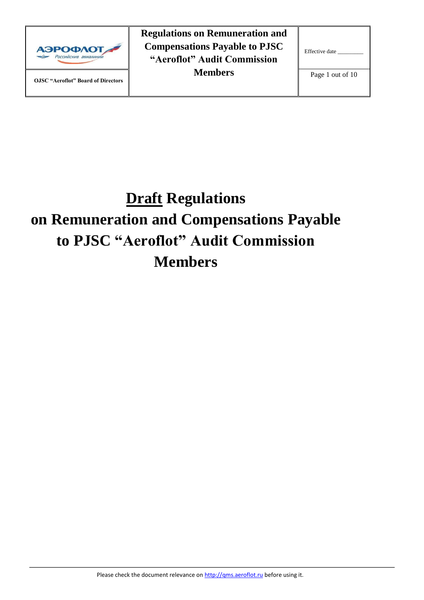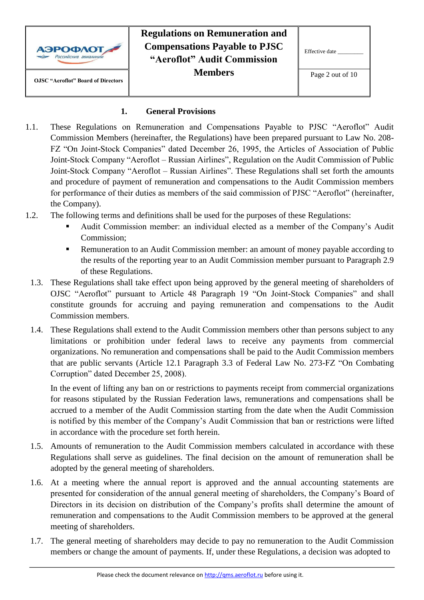|                                           | <b>Regulations on Remuneration and</b> |                  |
|-------------------------------------------|----------------------------------------|------------------|
| <b>АЭРОФЛОТ</b>                           | <b>Compensations Payable to PJSC</b>   | Effective date   |
| Российские авиалинии                      | "Aeroflot" Audit Commission            |                  |
| <b>OJSC</b> "Aeroflot" Board of Directors | <b>Members</b>                         | Page 2 out of 10 |
|                                           |                                        |                  |
|                                           |                                        |                  |

#### **1. General Provisions**

- 1.1. These Regulations on Remuneration and Compensations Payable to PJSC "Aeroflot" Audit Commission Members (hereinafter, the Regulations) have been prepared pursuant to Law No. 208- FZ "On Joint-Stock Companies" dated December 26, 1995, the Articles of Association of Public Joint-Stock Company "Aeroflot – Russian Airlines", Regulation on the Audit Commission of Public Joint-Stock Company "Aeroflot – Russian Airlines". These Regulations shall set forth the amounts and procedure of payment of remuneration and compensations to the Audit Commission members for performance of their duties as members of the said commission of PJSC "Aeroflot" (hereinafter, the Company).
- 1.2. The following terms and definitions shall be used for the purposes of these Regulations:
	- Audit Commission member: an individual elected as a member of the Company's Audit Commission;
	- Remuneration to an Audit Commission member: an amount of money payable according to the results of the reporting year to an Audit Commission member pursuant to Paragraph 2.9 of these Regulations.
	- 1.3. These Regulations shall take effect upon being approved by the general meeting of shareholders of OJSC "Aeroflot" pursuant to Article 48 Paragraph 19 "On Joint-Stock Companies" and shall constitute grounds for accruing and paying remuneration and compensations to the Audit Commission members.
	- 1.4. These Regulations shall extend to the Audit Commission members other than persons subject to any limitations or prohibition under federal laws to receive any payments from commercial organizations. No remuneration and compensations shall be paid to the Audit Commission members that are public servants (Article 12.1 Paragraph 3.3 of Federal Law No. 273-FZ "On Combating Corruption" dated December 25, 2008).

In the event of lifting any ban on or restrictions to payments receipt from commercial organizations for reasons stipulated by the Russian Federation laws, remunerations and compensations shall be accrued to a member of the Audit Commission starting from the date when the Audit Commission is notified by this member of the Company's Audit Commission that ban or restrictions were lifted in accordance with the procedure set forth herein.

- 1.5. Amounts of remuneration to the Audit Commission members calculated in accordance with these Regulations shall serve as guidelines. The final decision on the amount of remuneration shall be adopted by the general meeting of shareholders.
- 1.6. At a meeting where the annual report is approved and the annual accounting statements are presented for consideration of the annual general meeting of shareholders, the Company's Board of Directors in its decision on distribution of the Company's profits shall determine the amount of remuneration and compensations to the Audit Commission members to be approved at the general meeting of shareholders.
- 1.7. The general meeting of shareholders may decide to pay no remuneration to the Audit Commission members or change the amount of payments. If, under these Regulations, a decision was adopted to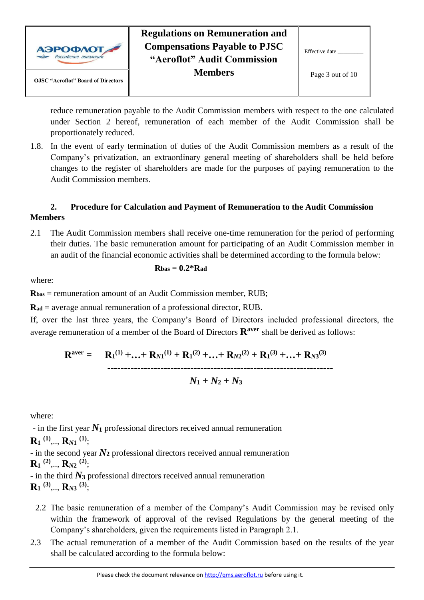

| Effective date   |
|------------------|
| Page 3 out of 10 |

reduce remuneration payable to the Audit Commission members with respect to the one calculated under Section 2 hereof, remuneration of each member of the Audit Commission shall be proportionately reduced.

1.8. In the event of early termination of duties of the Audit Commission members as a result of the Company's privatization, an extraordinary general meeting of shareholders shall be held before changes to the register of shareholders are made for the purposes of paying remuneration to the Audit Commission members.

#### **2. Procedure for Calculation and Payment of Remuneration to the Audit Commission Members**

2.1 The Audit Commission members shall receive one-time remuneration for the period of performing their duties. The basic remuneration amount for participating of an Audit Commission member in an audit of the financial economic activities shall be determined according to the formula below:

$$
R{\rm bas}=0.2^*R{\rm ad}
$$

where:

**Rbas** = remuneration amount of an Audit Commission member, RUB;

**Rad** = average annual remuneration of a professional director, RUB.

If, over the last three years, the Company's Board of Directors included professional directors, the average remuneration of a member of the Board of Directors **Raver** shall be derived as follows:

 $R^{\text{aver}} = R_1^{(1)} + ... + R_{N1}^{(1)} + R_1^{(2)} + ... + R_{N2}^{(2)} + R_1^{(3)} + ... + R_{N3}^{(3)}$ **--------------------------------------------------------------------**  $N_1 + N_2 + N_3$ 

where:

- in the first year  $N_1$  professional directors received annual remuneration

**R<sup>1</sup> (1)** ,.., **R***N***<sup>1</sup> (1)**;

- in the second year *N***<sup>2</sup>** professional directors received annual remuneration

**R<sup>1</sup> (2)** ,.., **R***N***<sup>2</sup> (2)** ;

- in the third *N***<sup>3</sup>** professional directors received annual remuneration **R<sup>1</sup> (3)** ,.., **R***N***<sup>3</sup> (3)**;

- 2.2 The basic remuneration of a member of the Company's Audit Commission may be revised only within the framework of approval of the revised Regulations by the general meeting of the Company's shareholders, given the requirements listed in Paragraph 2.1.
- 2.3 The actual remuneration of a member of the Audit Commission based on the results of the year shall be calculated according to the formula below: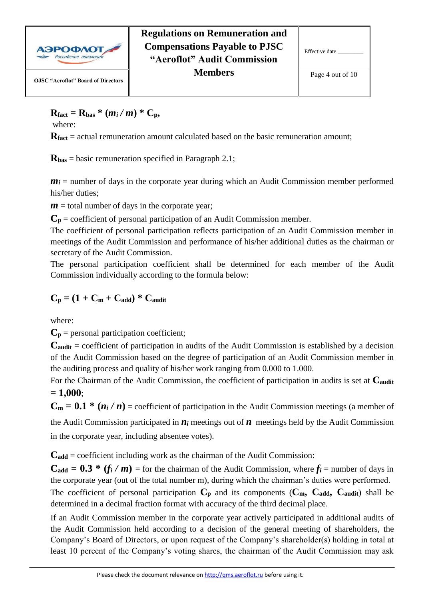

## $R_{\text{fact}} = R_{\text{bas}} * (m_i/m) * C_p$

where:

**Rfact** = actual remuneration amount calculated based on the basic remuneration amount;

**Rbas** = basic remuneration specified in Paragraph 2.1;

 $m_i$  = number of days in the corporate year during which an Audit Commission member performed his/her duties;

 $m =$  total number of days in the corporate year;

 $C_p$  = coefficient of personal participation of an Audit Commission member.

The coefficient of personal participation reflects participation of an Audit Commission member in meetings of the Audit Commission and performance of his/her additional duties as the chairman or secretary of the Audit Commission.

The personal participation coefficient shall be determined for each member of the Audit Commission individually according to the formula below:

$$
C_p = (1 + C_m + C_{add}) * C_{audit}
$$

where:

 $C_p$  = personal participation coefficient;

**Caudit** = coefficient of participation in audits of the Audit Commission is established by a decision of the Audit Commission based on the degree of participation of an Audit Commission member in the auditing process and quality of his/her work ranging from 0.000 to 1.000.

For the Chairman of the Audit Commission, the coefficient of participation in audits is set at **Caudit = 1,000**;

 $C_m = 0.1 * (n_i / n)$  = coefficient of participation in the Audit Commission meetings (a member of

the Audit Commission participated in  $n_i$  meetings out of  $n$  meetings held by the Audit Commission in the corporate year, including absentee votes).

**Cadd** = coefficient including work as the chairman of the Audit Commission:

 $C_{\text{add}} = 0.3$  \*  $(f_i/m)$  = for the chairman of the Audit Commission, where  $f_i$  = number of days in the corporate year (out of the total number m), during which the chairman's duties were performed. The coefficient of personal participation  $C_p$  and its components  $(C_m, C_{\text{add}}, C_{\text{audit}})$  shall be

determined in a decimal fraction format with accuracy of the third decimal place.

If an Audit Commission member in the corporate year actively participated in additional audits of the Audit Commission held according to a decision of the general meeting of shareholders, the Company's Board of Directors, or upon request of the Company's shareholder(s) holding in total at least 10 percent of the Company's voting shares, the chairman of the Audit Commission may ask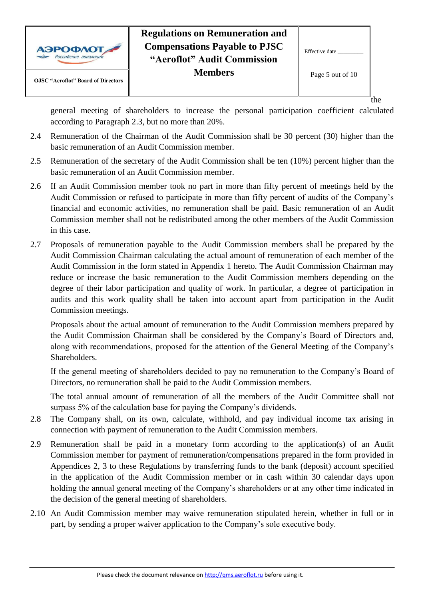

general meeting of shareholders to increase the personal participation coefficient calculated according to Paragraph 2.3, but no more than 20%.

- 2.4 Remuneration of the Chairman of the Audit Commission shall be 30 percent (30) higher than the basic remuneration of an Audit Commission member.
- 2.5 Remuneration of the secretary of the Audit Commission shall be ten (10%) percent higher than the basic remuneration of an Audit Commission member.
- 2.6 If an Audit Commission member took no part in more than fifty percent of meetings held by the Audit Commission or refused to participate in more than fifty percent of audits of the Company's financial and economic activities, no remuneration shall be paid. Basic remuneration of an Audit Commission member shall not be redistributed among the other members of the Audit Commission in this case.
- 2.7 Proposals of remuneration payable to the Audit Commission members shall be prepared by the Audit Commission Chairman calculating the actual amount of remuneration of each member of the Audit Commission in the form stated in Appendix 1 hereto. The Audit Commission Chairman may reduce or increase the basic remuneration to the Audit Commission members depending on the degree of their labor participation and quality of work. In particular, a degree of participation in audits and this work quality shall be taken into account apart from participation in the Audit Commission meetings.

Proposals about the actual amount of remuneration to the Audit Commission members prepared by the Audit Commission Chairman shall be considered by the Company's Board of Directors and, along with recommendations, proposed for the attention of the General Meeting of the Company's Shareholders.

If the general meeting of shareholders decided to pay no remuneration to the Company's Board of Directors, no remuneration shall be paid to the Audit Commission members.

The total annual amount of remuneration of all the members of the Audit Committee shall not surpass 5% of the calculation base for paying the Company's dividends.

- 2.8 The Company shall, on its own, calculate, withhold, and pay individual income tax arising in connection with payment of remuneration to the Audit Commission members.
- 2.9 Remuneration shall be paid in a monetary form according to the application(s) of an Audit Commission member for payment of remuneration/compensations prepared in the form provided in Appendices 2, 3 to these Regulations by transferring funds to the bank (deposit) account specified in the application of the Audit Commission member or in cash within 30 calendar days upon holding the annual general meeting of the Company's shareholders or at any other time indicated in the decision of the general meeting of shareholders.
- 2.10 An Audit Commission member may waive remuneration stipulated herein, whether in full or in part, by sending a proper waiver application to the Company's sole executive body.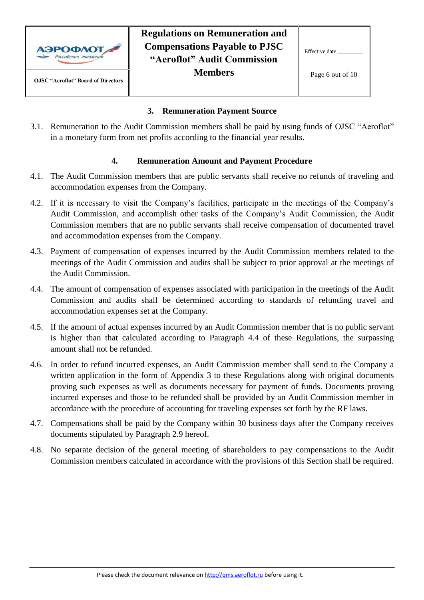

| Effective date |  |
|----------------|--|
|                |  |

#### **3. Remuneration Payment Source**

3.1. Remuneration to the Audit Commission members shall be paid by using funds of OJSC "Aeroflot" in a monetary form from net profits according to the financial year results.

#### **4. Remuneration Amount and Payment Procedure**

- 4.1. The Audit Commission members that are public servants shall receive no refunds of traveling and accommodation expenses from the Company.
- 4.2. If it is necessary to visit the Company's facilities, participate in the meetings of the Company's Audit Commission, and accomplish other tasks of the Company's Audit Commission, the Audit Commission members that are no public servants shall receive compensation of documented travel and accommodation expenses from the Company.
- 4.3. Payment of compensation of expenses incurred by the Audit Commission members related to the meetings of the Audit Commission and audits shall be subject to prior approval at the meetings of the Audit Commission.
- 4.4. The amount of compensation of expenses associated with participation in the meetings of the Audit Commission and audits shall be determined according to standards of refunding travel and accommodation expenses set at the Company.
- 4.5. If the amount of actual expenses incurred by an Audit Commission member that is no public servant is higher than that calculated according to Paragraph 4.4 of these Regulations, the surpassing amount shall not be refunded.
- 4.6. In order to refund incurred expenses, an Audit Commission member shall send to the Company a written application in the form of Appendix 3 to these Regulations along with original documents proving such expenses as well as documents necessary for payment of funds. Documents proving incurred expenses and those to be refunded shall be provided by an Audit Commission member in accordance with the procedure of accounting for traveling expenses set forth by the RF laws.
- 4.7. Compensations shall be paid by the Company within 30 business days after the Company receives documents stipulated by Paragraph 2.9 hereof.
- 4.8. No separate decision of the general meeting of shareholders to pay compensations to the Audit Commission members calculated in accordance with the provisions of this Section shall be required.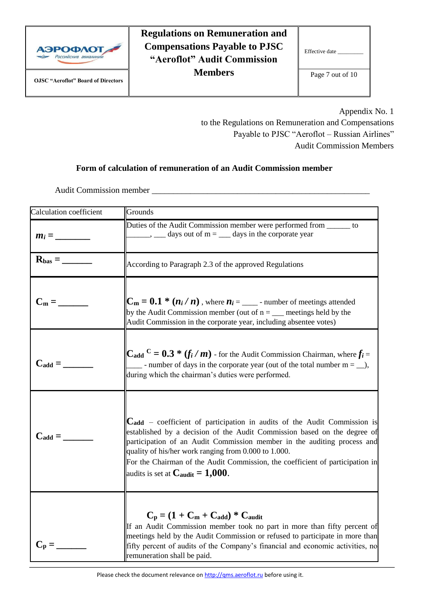

| Effective date   |
|------------------|
| Page 7 out of 10 |

Appendix No. 1

to the Regulations on Remuneration and Compensations Payable to PJSC "Aeroflot – Russian Airlines" Audit Commission Members

#### **Form of calculation of remuneration of an Audit Commission member**

Audit Commission member \_\_\_\_\_\_\_\_\_\_\_\_\_\_\_\_\_\_\_\_\_\_\_\_\_\_\_\_\_\_\_\_\_\_\_\_\_\_\_\_\_\_\_\_\_\_\_\_\_\_\_

| Calculation coefficient                | Grounds                                                                                                                                                                                                                                                                                                                                                                                                                        |
|----------------------------------------|--------------------------------------------------------------------------------------------------------------------------------------------------------------------------------------------------------------------------------------------------------------------------------------------------------------------------------------------------------------------------------------------------------------------------------|
|                                        | Duties of the Audit Commission member were performed from ______ to<br>$\frac{1}{\sqrt{2}}$ , $\frac{1}{\sqrt{2}}$ days out of m = $\frac{1}{\sqrt{2}}$ days in the corporate year                                                                                                                                                                                                                                             |
| $R_{bas} = \underline{\qquad \qquad }$ | According to Paragraph 2.3 of the approved Regulations                                                                                                                                                                                                                                                                                                                                                                         |
| $C_m = \_$                             | $C_m = 0.1 * (n_i/n)$ , where $n_i =$ _______ - number of meetings attended<br>by the Audit Commission member (out of $n = \underline{\hspace{2cm}}$ meetings held by the<br>Audit Commission in the corporate year, including absentee votes)                                                                                                                                                                                 |
| $C_{\text{add}} =$                     | $C_{\text{add}}^C = 0.3 * (f_i / m)$ - for the Audit Commission Chairman, where $f_i =$<br>- number of days in the corporate year (out of the total number $m = \underline{\hspace{2cm}}$ ),<br>during which the chairman's duties were performed.                                                                                                                                                                             |
| $C_{add} =$                            | $C_{add}$ – coefficient of participation in audits of the Audit Commission is<br>established by a decision of the Audit Commission based on the degree of<br>participation of an Audit Commission member in the auditing process and<br>quality of his/her work ranging from 0.000 to 1.000.<br>For the Chairman of the Audit Commission, the coefficient of participation in<br>audits is set at $C_{\text{audit}} = 1,000$ . |
| $C_p =$                                | $C_p = (1 + C_m + C_{add}) * C_{audit}$<br>If an Audit Commission member took no part in more than fifty percent of<br>meetings held by the Audit Commission or refused to participate in more than<br>fifty percent of audits of the Company's financial and economic activities, no<br>remuneration shall be paid.                                                                                                           |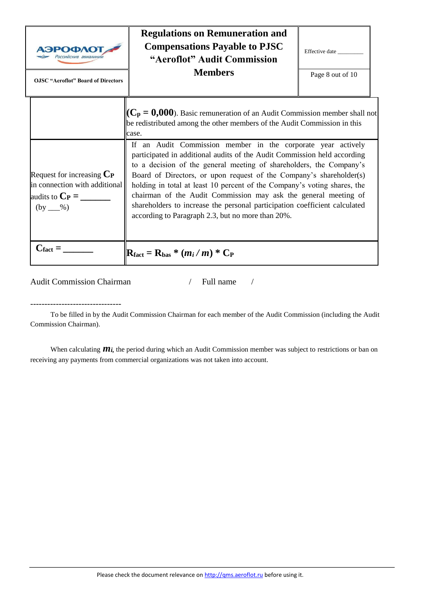| АЭРОФЛО<br>Российские авиалини<br><b>OJSC "Aeroflot" Board of Directors</b>                  | <b>Regulations on Remuneration and</b><br><b>Compensations Payable to PJSC</b><br>"Aeroflot" Audit Commission<br><b>Members</b>                                                                                                                                                                                                                                                                                                                                                                                                                                                                                                                                                                                                                     | Effective date<br>Page 8 out of 10 |
|----------------------------------------------------------------------------------------------|-----------------------------------------------------------------------------------------------------------------------------------------------------------------------------------------------------------------------------------------------------------------------------------------------------------------------------------------------------------------------------------------------------------------------------------------------------------------------------------------------------------------------------------------------------------------------------------------------------------------------------------------------------------------------------------------------------------------------------------------------------|------------------------------------|
| Request for increasing $C_P$<br>in connection with additional<br>audits to $C_P =$<br>$(by_$ | $\ $ ( $C_p = 0,000$ ). Basic remuneration of an Audit Commission member shall not<br>be redistributed among the other members of the Audit Commission in this<br>case.<br>If an Audit Commission member in the corporate year actively<br>participated in additional audits of the Audit Commission held according<br>to a decision of the general meeting of shareholders, the Company's<br>Board of Directors, or upon request of the Company's shareholder(s)<br>holding in total at least 10 percent of the Company's voting shares, the<br>chairman of the Audit Commission may ask the general meeting of<br>shareholders to increase the personal participation coefficient calculated<br>according to Paragraph 2.3, but no more than 20%. |                                    |
| $C_{\text{fact}} =$                                                                          | $\mathbf{R}_{\text{fact}} = \mathbf{R}_{\text{bas}} * (m_i/m) * C_{\text{P}}$                                                                                                                                                                                                                                                                                                                                                                                                                                                                                                                                                                                                                                                                       |                                    |

Audit Commission Chairman / Full name /

--------------------------------

To be filled in by the Audit Commission Chairman for each member of the Audit Commission (including the Audit Commission Chairman).

When calculating  $m_i$ , the period during which an Audit Commission member was subject to restrictions or ban on receiving any payments from commercial organizations was not taken into account.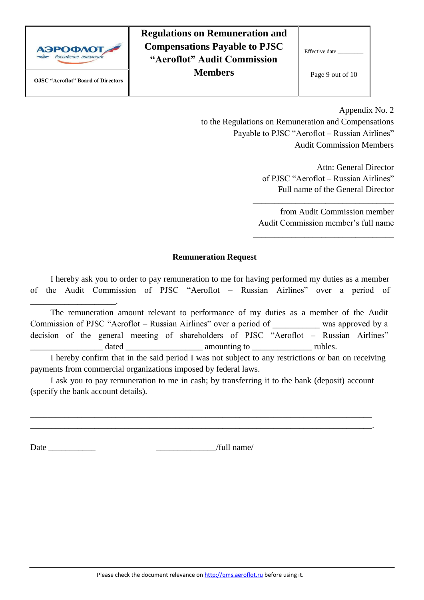

\_\_\_\_\_\_\_\_\_\_\_\_\_\_\_\_\_\_\_\_.

**Regulations on Remuneration and Compensations Payable to PJSC "Aeroflot" Audit Commission Members**

| Effective date   |
|------------------|
| Page 9 out of 10 |

Appendix No. 2

to the Regulations on Remuneration and Compensations Payable to PJSC "Aeroflot – Russian Airlines" Audit Commission Members

> Attn: General Director of PJSC "Aeroflot – Russian Airlines" Full name of the General Director

from Audit Commission member Audit Commission member's full name

\_\_\_\_\_\_\_\_\_\_\_\_\_\_\_\_\_\_\_\_\_\_\_\_\_\_\_\_\_\_\_\_\_

\_\_\_\_\_\_\_\_\_\_\_\_\_\_\_\_\_\_\_\_\_\_\_\_\_\_\_\_\_\_\_\_\_

#### **Remuneration Request**

I hereby ask you to order to pay remuneration to me for having performed my duties as a member of the Audit Commission of PJSC "Aeroflot – Russian Airlines" over a period of

The remuneration amount relevant to performance of my duties as a member of the Audit Commission of PJSC "Aeroflot – Russian Airlines" over a period of \_\_\_\_\_\_\_\_\_\_\_ was approved by a decision of the general meeting of shareholders of PJSC "Aeroflot – Russian Airlines" \_\_\_\_\_\_\_\_\_\_\_\_\_\_\_\_\_ dated \_\_\_\_\_\_\_\_\_\_\_\_\_\_\_\_\_\_ amounting to \_\_\_\_\_\_\_\_\_\_\_\_\_\_ rubles.

I hereby confirm that in the said period I was not subject to any restrictions or ban on receiving payments from commercial organizations imposed by federal laws.

I ask you to pay remuneration to me in cash; by transferring it to the bank (deposit) account (specify the bank account details).

\_\_\_\_\_\_\_\_\_\_\_\_\_\_\_\_\_\_\_\_\_\_\_\_\_\_\_\_\_\_\_\_\_\_\_\_\_\_\_\_\_\_\_\_\_\_\_\_\_\_\_\_\_\_\_\_\_\_\_\_\_\_\_\_\_\_\_\_\_\_\_\_\_\_\_\_\_\_\_\_ \_\_\_\_\_\_\_\_\_\_\_\_\_\_\_\_\_\_\_\_\_\_\_\_\_\_\_\_\_\_\_\_\_\_\_\_\_\_\_\_\_\_\_\_\_\_\_\_\_\_\_\_\_\_\_\_\_\_\_\_\_\_\_\_\_\_\_\_\_\_\_\_\_\_\_\_\_\_\_\_.

Date \_\_\_\_\_\_\_\_\_\_\_ \_\_\_\_\_\_\_\_\_\_\_\_\_\_/full name/